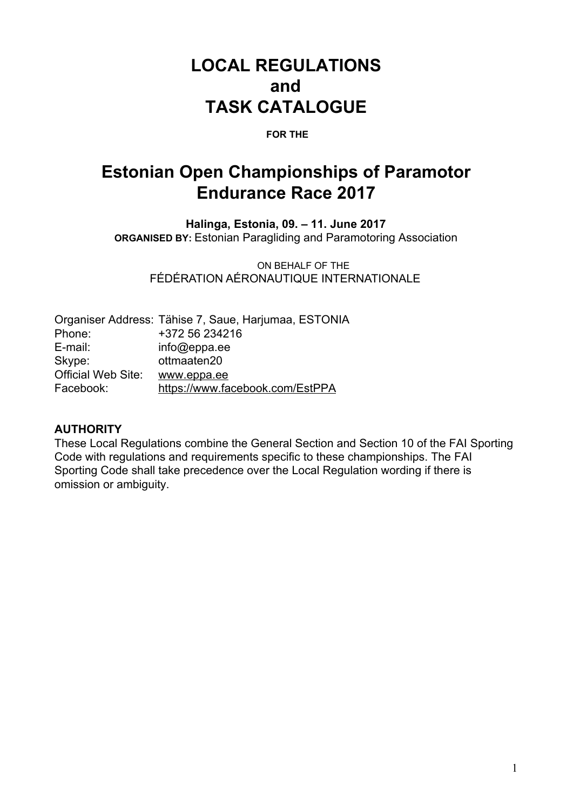# **LOCAL REGULATIONS and TASK CATALOGUE**

#### **FOR THE**

# **Estonian Open Championships of Paramotor Endurance Race 2017**

**Halinga, Estonia, 09. – 11. June 2017 ORGANISED BY:** Estonian Paragliding and Paramotoring Association

ON BEHALF OF THE FÉDÉRATION AÉRONAUTIQUE INTERNATIONALE

| Organiser Address: Tähise 7, Saue, Harjumaa, ESTONIA |
|------------------------------------------------------|
| +372 56 234216                                       |
| info@eppa.ee                                         |
| ottmaaten20                                          |
| www.eppa.ee                                          |
| https://www.facebook.com/EstPPA                      |
|                                                      |

#### **AUTHORITY**

These Local Regulations combine the General Section and Section 10 of the FAI Sporting Code with regulations and requirements specific to these championships. The FAI Sporting Code shall take precedence over the Local Regulation wording if there is omission or ambiguity.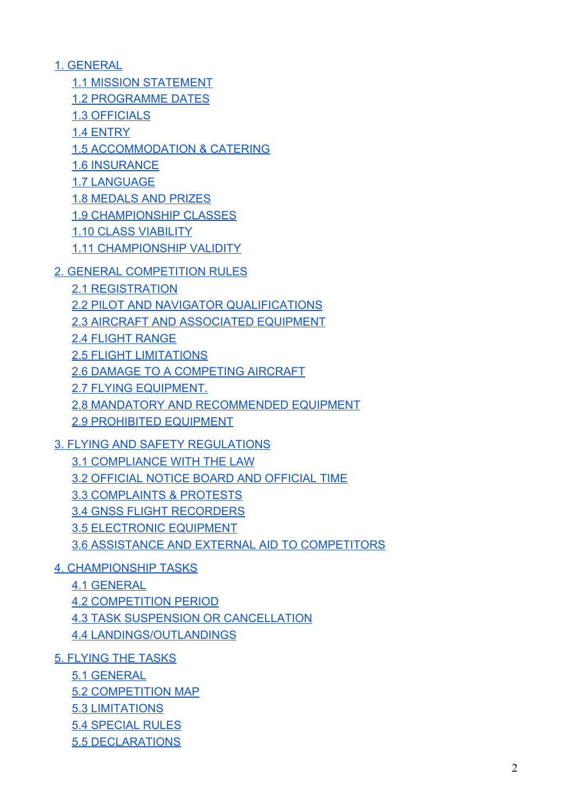[1. GENERAL](#page-3-1)

[1.1 MISSION STATEMENT](#page-3-0)

[1.2 PROGRAMME DATES](#page-4-1)

[1.3 OFFICIALS](#page-4-0)

[1.4 ENTRY](#page-4-3)

[1.5 ACCOMMODATION & CATERING](#page-4-2)

[1.6 INSURANCE](#page-5-6)

[1.7 LANGUAGE](#page-5-0)

[1.8 MEDALS AND PRIZES](#page-5-2)

[1.9 CHAMPIONSHIP CLASSES](#page-5-4)

[1.10 CLASS VIABILITY](#page-5-3)

[1.11 CHAMPIONSHIP VALIDITY](#page-5-1)

[2. GENERAL COMPETITION RULES](#page-5-5)

[2.1 REGISTRATION](#page-5-7)

[2.2 PILOT AND NAVIGATOR QUALIFICATIONS](#page-6-0)

[2.3 AIRCRAFT AND ASSOCIATED EQUIPMENT](#page-6-1)

[2.4 FLIGHT RANGE](#page-6-4)

[2.5 FLIGHT LIMITATIONS](#page-6-6)

[2.6 DAMAGE TO A COMPETING AIRCRAFT](#page-6-2)

[2.7 FLYING EQUIPMENT.](#page-6-3)

[2.8 MANDATORY AND RECOMMENDED EQUIPMENT](#page-6-5)

[2.9 PROHIBITED EQUIPMENT](#page-7-0)

[3. FLYING AND SAFETY REGULATIONS](#page-7-5)

[3.1 COMPLIANCE WITH THE LAW](#page-7-1)

[3.2 OFFICIAL NOTICE BOARD AND OFFICIAL TIME](#page-7-6)

[3.3 COMPLAINTS & PROTESTS](#page-7-4)

[3.4 GNSS FLIGHT RECORDERS](#page-7-3)

[3.5 ELECTRONIC EQUIPMENT](#page-7-2)

[3.6 ASSISTANCE AND EXTERNAL AID TO COMPETITORS](#page-8-1)

[4. CHAMPIONSHIP TASKS](#page-8-2)

[4.1 GENERAL](#page-8-0)

[4.2 COMPETITION PERIOD](#page-8-4)

[4.3 TASK SUSPENSION OR CANCELLATION](#page-8-3)

[4.4 LANDINGS/OUTLANDINGS](#page-9-0)

[5. FLYING THE TASKS](#page-9-1)

[5.1 GENERAL](#page-9-3)

[5.2 COMPETITION MAP](#page-9-2)

[5.3 LIMITATIONS](#page-9-4)

[5.4 SPECIAL RULES](#page-10-1)

[5.5 DECLARATIONS](#page-10-0)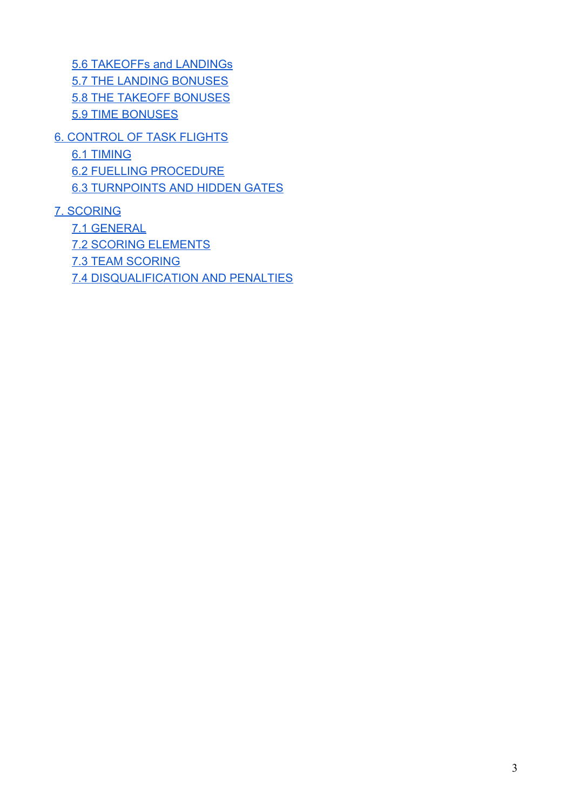[5.6 TAKEOFFs and LANDINGs](#page-11-0) [5.7 THE LANDING BONUSES](#page-11-3) [5.8 THE TAKEOFF BONUSES](#page-11-2) 5.9 TIME BONUSES

[6. CONTROL OF TASK FLIGHTS](#page-11-1)

[6.1 TIMING](#page-11-4)

[6.2 FUELLING PROCEDURE](#page-12-0)

[6.3 TURNPOINTS AND HIDDEN GATES](#page-12-2)

[7. SCORING](#page-12-1)

[7.1 GENERAL](#page-13-1) [7.2 SCORING ELEMENTS](#page-13-0) [7.3 TEAM SCORING](#page-13-2) [7.4 DISQUALIFICATION AND PENALTIES](#page-13-3)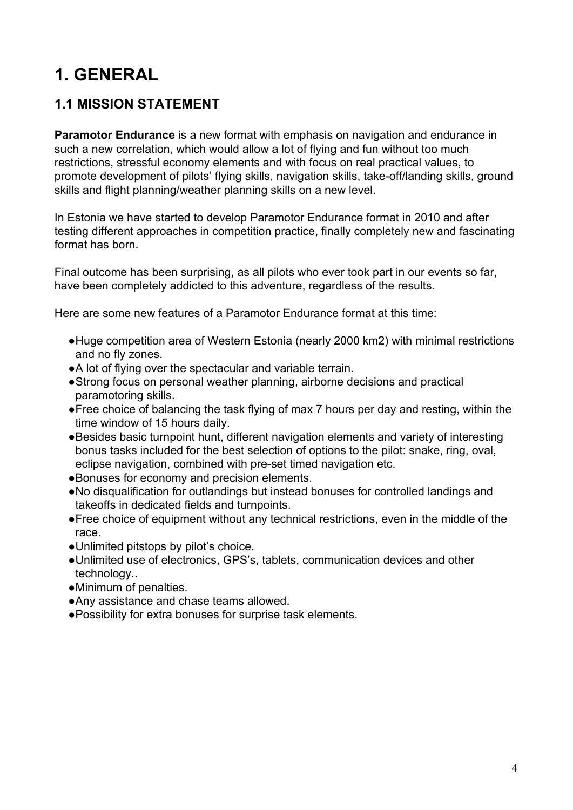# <span id="page-3-1"></span>**1. GENERAL**

#### <span id="page-3-0"></span>**1.1 MISSION STATEMENT**

**Paramotor Endurance** is a new format with emphasis on navigation and endurance in such a new correlation, which would allow a lot of flying and fun without too much restrictions, stressful economy elements and with focus on real practical values, to promote development of pilots' flying skills, navigation skills, take-off/landing skills, ground skills and flight planning/weather planning skills on a new level.

In Estonia we have started to develop Paramotor Endurance format in 2010 and after testing different approaches in competition practice, finally completely new and fascinating format has born.

Final outcome has been surprising, as all pilots who ever took part in our events so far, have been completely addicted to this adventure, regardless of the results.

Here are some new features of a Paramotor Endurance format at this time:

- ●Huge competition area of Western Estonia (nearly 2000 km2) with minimal restrictions and no fly zones.
- ●A lot of flying over the spectacular and variable terrain.
- ●Strong focus on personal weather planning, airborne decisions and practical paramotoring skills.
- ●Free choice of balancing the task flying of max 7 hours per day and resting, within the time window of 15 hours daily.
- ●Besides basic turnpoint hunt, different navigation elements and variety of interesting bonus tasks included for the best selection of options to the pilot: snake, ring, oval, eclipse navigation, combined with pre-set timed navigation etc.
- ●Bonuses for economy and precision elements.
- ●No disqualification for outlandings but instead bonuses for controlled landings and takeoffs in dedicated fields and turnpoints.
- ●Free choice of equipment without any technical restrictions, even in the middle of the race.
- ●Unlimited pitstops by pilot's choice.
- ●Unlimited use of electronics, GPS's, tablets, communication devices and other technology..
- ●Minimum of penalties.
- ●Any assistance and chase teams allowed.
- ●Possibility for extra bonuses for surprise task elements.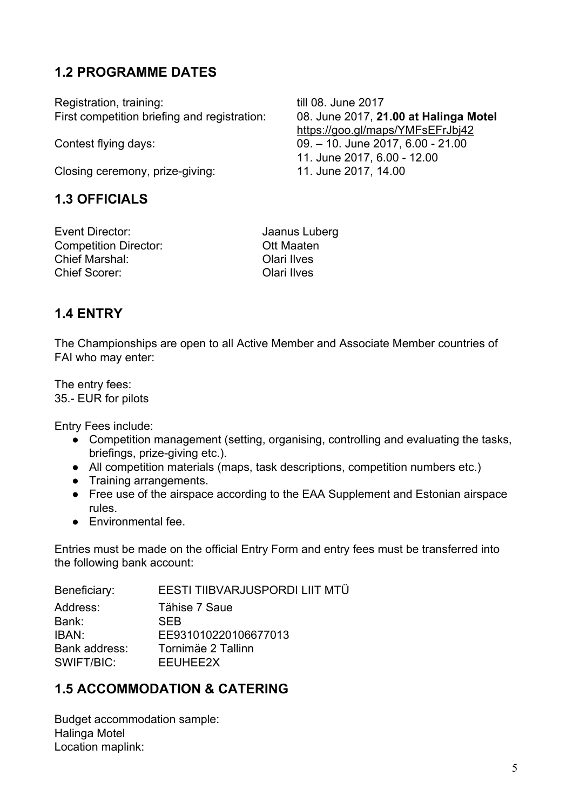#### <span id="page-4-1"></span>**1.2 PROGRAMME DATES**

Registration, training: till 08. June 2017 First competition briefing and registration: 08. June 2017, **21.00 at Halinga Motel**

<span id="page-4-0"></span>Closing ceremony, prize-giving: 11. June 2017, 14.00

#### **1.3 OFFICIALS**

Event Director: Jaanus Luberg Competition Director: Ott Maaten Chief Marshal: Olari Ilves Chief Scorer: Olari Ilves

#### <span id="page-4-3"></span>**1.4 ENTRY**

The Championships are open to all Active Member and Associate Member countries of FAI who may enter:

The entry fees: 35.- EUR for pilots

Entry Fees include:

- Competition management (setting, organising, controlling and evaluating the tasks, briefings, prize-giving etc.).
- All competition materials (maps, task descriptions, competition numbers etc.)
- Training arrangements.
- Free use of the airspace according to the EAA Supplement and Estonian airspace rules.
- Environmental fee.

Entries must be made on the official Entry Form and entry fees must be transferred into the following bank account:

| Beneficiary:  | EESTI TIIBVARJUSPORDI LIIT MTÜ |
|---------------|--------------------------------|
| Address:      | Tähise 7 Saue                  |
| Bank:         | <b>SEB</b>                     |
| IBAN:         | EE931010220106677013           |
| Bank address: | Tornimäe 2 Tallinn             |
| SWIFT/BIC:    | EEUHEE2X                       |
|               |                                |

#### <span id="page-4-2"></span>**1.5 ACCOMMODATION & CATERING**

Budget accommodation sample: Halinga Motel Location maplink:

<https://goo.gl/maps/YMFsEFrJbj42> Contest flying days: 09. – 10. June 2017, 6.00 - 21.00 11. June 2017, 6.00 - 12.00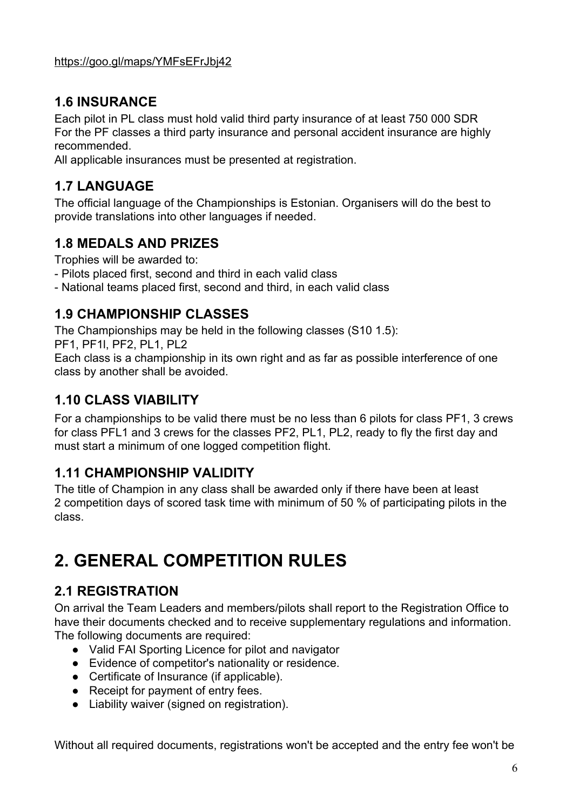#### <span id="page-5-6"></span>**1.6 INSURANCE**

Each pilot in PL class must hold valid third party insurance of at least 750 000 SDR For the PF classes a third party insurance and personal accident insurance are highly recommended.

All applicable insurances must be presented at registration.

#### <span id="page-5-0"></span>**1.7 LANGUAGE**

The official language of the Championships is Estonian. Organisers will do the best to provide translations into other languages if needed.

#### <span id="page-5-2"></span>**1.8 MEDALS AND PRIZES**

Trophies will be awarded to:

- Pilots placed first, second and third in each valid class
- National teams placed first, second and third, in each valid class

#### <span id="page-5-4"></span>**1.9 CHAMPIONSHIP CLASSES**

The Championships may be held in the following classes (S10 1.5):

PF1, PF1l, PF2, PL1, PL2

Each class is a championship in its own right and as far as possible interference of one class by another shall be avoided.

#### <span id="page-5-3"></span>**1.10 CLASS VIABILITY**

For a championships to be valid there must be no less than 6 pilots for class PF1, 3 crews for class PFL1 and 3 crews for the classes PF2, PL1, PL2, ready to fly the first day and must start a minimum of one logged competition flight.

#### <span id="page-5-1"></span>**1.11 CHAMPIONSHIP VALIDITY**

The title of Champion in any class shall be awarded only if there have been at least 2 competition days of scored task time with minimum of 50 % of participating pilots in the class.

# <span id="page-5-5"></span>**2. GENERAL COMPETITION RULES**

#### <span id="page-5-7"></span>**2.1 REGISTRATION**

On arrival the Team Leaders and members/pilots shall report to the Registration Office to have their documents checked and to receive supplementary regulations and information. The following documents are required:

- Valid FAI Sporting Licence for pilot and navigator
- Evidence of competitor's nationality or residence.
- Certificate of Insurance (if applicable).
- Receipt for payment of entry fees.
- Liability waiver (signed on registration).

Without all required documents, registrations won't be accepted and the entry fee won't be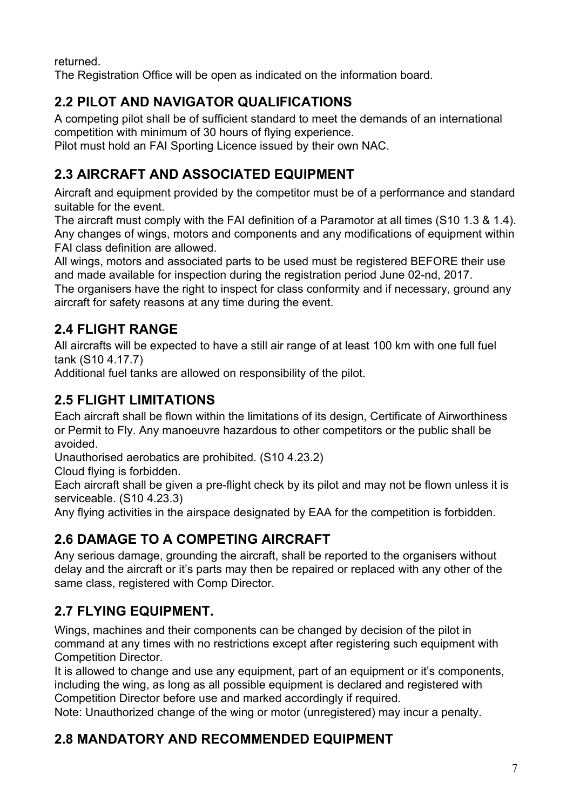returned.

The Registration Office will be open as indicated on the information board.

## <span id="page-6-0"></span>**2.2 PILOT AND NAVIGATOR QUALIFICATIONS**

A competing pilot shall be of sufficient standard to meet the demands of an international competition with minimum of 30 hours of flying experience.

<span id="page-6-1"></span>Pilot must hold an FAI Sporting Licence issued by their own NAC.

## **2.3 AIRCRAFT AND ASSOCIATED EQUIPMENT**

Aircraft and equipment provided by the competitor must be of a performance and standard suitable for the event.

The aircraft must comply with the FAI definition of a Paramotor at all times (S10 1.3 & 1.4). Any changes of wings, motors and components and any modifications of equipment within FAI class definition are allowed.

All wings, motors and associated parts to be used must be registered BEFORE their use and made available for inspection during the registration period June 02-nd, 2017.

The organisers have the right to inspect for class conformity and if necessary, ground any aircraft for safety reasons at any time during the event.

## <span id="page-6-4"></span>**2.4 FLIGHT RANGE**

All aircrafts will be expected to have a still air range of at least 100 km with one full fuel tank (S10 4.17.7)

Additional fuel tanks are allowed on responsibility of the pilot.

## <span id="page-6-6"></span>**2.5 FLIGHT LIMITATIONS**

Each aircraft shall be flown within the limitations of its design, Certificate of Airworthiness or Permit to Fly. Any manoeuvre hazardous to other competitors or the public shall be avoided.

Unauthorised aerobatics are prohibited. (S10 4.23.2)

Cloud flying is forbidden.

Each aircraft shall be given a pre-flight check by its pilot and may not be flown unless it is serviceable. (S10 4.23.3)

Any flying activities in the airspace designated by EAA for the competition is forbidden.

## <span id="page-6-2"></span>**2.6 DAMAGE TO A COMPETING AIRCRAFT**

Any serious damage, grounding the aircraft, shall be reported to the organisers without delay and the aircraft or it's parts may then be repaired or replaced with any other of the same class, registered with Comp Director.

## <span id="page-6-3"></span>**2.7 FLYING EQUIPMENT.**

Wings, machines and their components can be changed by decision of the pilot in command at any times with no restrictions except after registering such equipment with Competition Director.

It is allowed to change and use any equipment, part of an equipment or it's components, including the wing, as long as all possible equipment is declared and registered with Competition Director before use and marked accordingly if required.

Note: Unauthorized change of the wing or motor (unregistered) may incur a penalty.

## <span id="page-6-5"></span>**2.8 MANDATORY AND RECOMMENDED EQUIPMENT**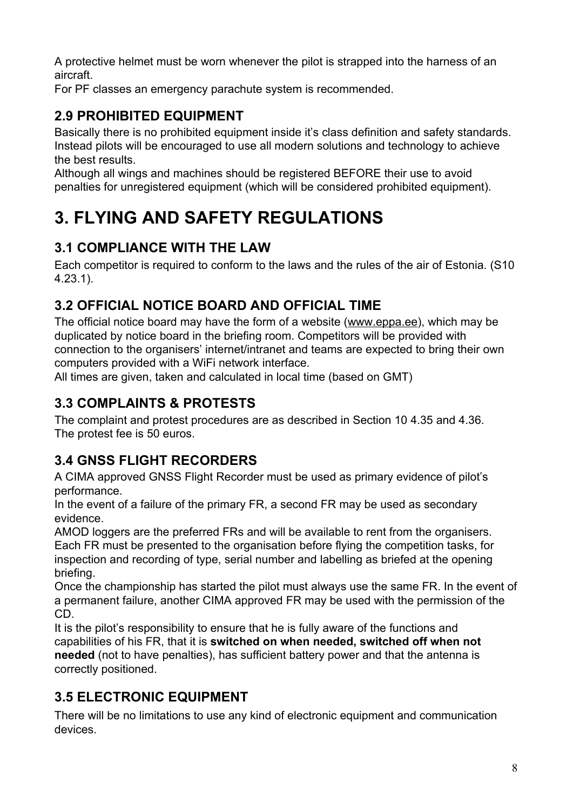A protective helmet must be worn whenever the pilot is strapped into the harness of an aircraft.

For PF classes an emergency parachute system is recommended.

### <span id="page-7-0"></span>**2.9 PROHIBITED EQUIPMENT**

Basically there is no prohibited equipment inside it's class definition and safety standards. Instead pilots will be encouraged to use all modern solutions and technology to achieve the best results.

Although all wings and machines should be registered BEFORE their use to avoid penalties for unregistered equipment (which will be considered prohibited equipment).

# <span id="page-7-5"></span>**3. FLYING AND SAFETY REGULATIONS**

#### <span id="page-7-1"></span>**3.1 COMPLIANCE WITH THE LAW**

Each competitor is required to conform to the laws and the rules of the air of Estonia. (S10 4.23.1).

#### <span id="page-7-6"></span>**3.2 OFFICIAL NOTICE BOARD AND OFFICIAL TIME**

The official notice board may have the form of a website ([www.eppa.ee\)](http://www.eppa.ee/), which may be duplicated by notice board in the briefing room. Competitors will be provided with connection to the organisers' internet/intranet and teams are expected to bring their own computers provided with a WiFi network interface.

All times are given, taken and calculated in local time (based on GMT)

## <span id="page-7-4"></span>**3.3 COMPLAINTS & PROTESTS**

The complaint and protest procedures are as described in Section 10 4.35 and 4.36. The protest fee is 50 euros.

## <span id="page-7-3"></span>**3.4 GNSS FLIGHT RECORDERS**

A CIMA approved GNSS Flight Recorder must be used as primary evidence of pilot's performance.

In the event of a failure of the primary FR, a second FR may be used as secondary evidence.

AMOD loggers are the preferred FRs and will be available to rent from the organisers. Each FR must be presented to the organisation before flying the competition tasks, for inspection and recording of type, serial number and labelling as briefed at the opening briefing.

Once the championship has started the pilot must always use the same FR. In the event of a permanent failure, another CIMA approved FR may be used with the permission of the CD.

It is the pilot's responsibility to ensure that he is fully aware of the functions and capabilities of his FR, that it is **switched on when needed, switched off when not needed** (not to have penalties), has sufficient battery power and that the antenna is correctly positioned.

## <span id="page-7-2"></span>**3.5 ELECTRONIC EQUIPMENT**

There will be no limitations to use any kind of electronic equipment and communication devices.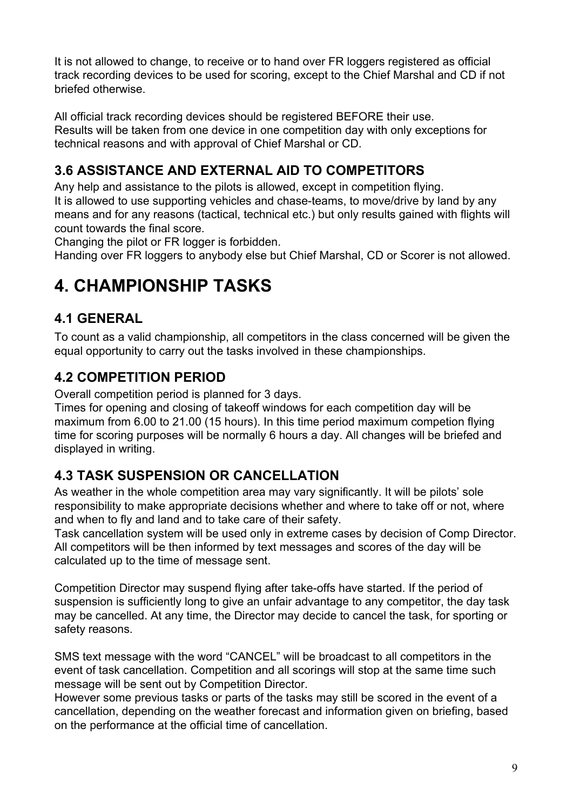It is not allowed to change, to receive or to hand over FR loggers registered as official track recording devices to be used for scoring, except to the Chief Marshal and CD if not briefed otherwise.

All official track recording devices should be registered BEFORE their use. Results will be taken from one device in one competition day with only exceptions for technical reasons and with approval of Chief Marshal or CD.

## <span id="page-8-1"></span>**3.6 ASSISTANCE AND EXTERNAL AID TO COMPETITORS**

Any help and assistance to the pilots is allowed, except in competition flying. It is allowed to use supporting vehicles and chase-teams, to move/drive by land by any means and for any reasons (tactical, technical etc.) but only results gained with flights will count towards the final score.

Changing the pilot or FR logger is forbidden.

<span id="page-8-2"></span>Handing over FR loggers to anybody else but Chief Marshal, CD or Scorer is not allowed.

# **4. CHAMPIONSHIP TASKS**

#### <span id="page-8-0"></span>**4.1 GENERAL**

To count as a valid championship, all competitors in the class concerned will be given the equal opportunity to carry out the tasks involved in these championships.

#### <span id="page-8-4"></span>**4.2 COMPETITION PERIOD**

Overall competition period is planned for 3 days.

Times for opening and closing of takeoff windows for each competition day will be maximum from 6.00 to 21.00 (15 hours). In this time period maximum competion flying time for scoring purposes will be normally 6 hours a day. All changes will be briefed and displayed in writing.

#### <span id="page-8-3"></span>**4.3 TASK SUSPENSION OR CANCELLATION**

As weather in the whole competition area may vary significantly. It will be pilots' sole responsibility to make appropriate decisions whether and where to take off or not, where and when to fly and land and to take care of their safety.

Task cancellation system will be used only in extreme cases by decision of Comp Director. All competitors will be then informed by text messages and scores of the day will be calculated up to the time of message sent.

Competition Director may suspend flying after take-offs have started. If the period of suspension is sufficiently long to give an unfair advantage to any competitor, the day task may be cancelled. At any time, the Director may decide to cancel the task, for sporting or safety reasons.

SMS text message with the word "CANCEL" will be broadcast to all competitors in the event of task cancellation. Competition and all scorings will stop at the same time such message will be sent out by Competition Director.

However some previous tasks or parts of the tasks may still be scored in the event of a cancellation, depending on the weather forecast and information given on briefing, based on the performance at the official time of cancellation.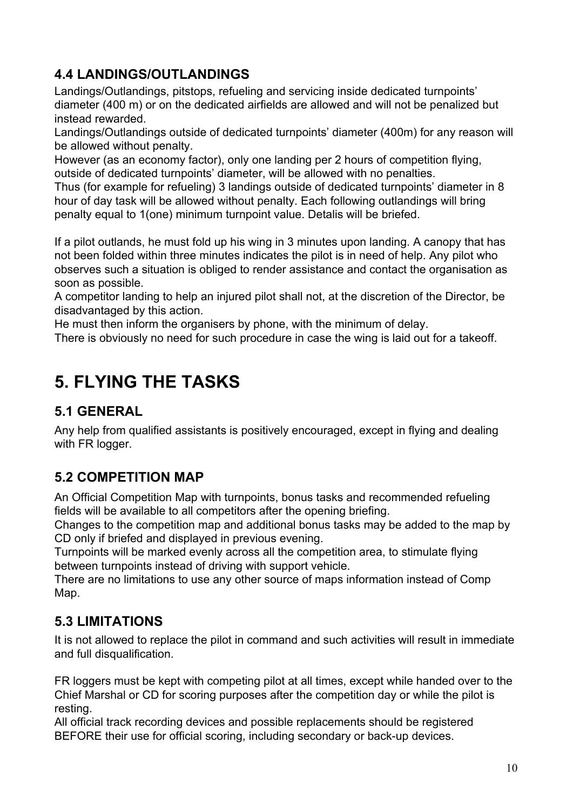### <span id="page-9-0"></span>**4.4 LANDINGS/OUTLANDINGS**

Landings/Outlandings, pitstops, refueling and servicing inside dedicated turnpoints' diameter (400 m) or on the dedicated airfields are allowed and will not be penalized but instead rewarded.

Landings/Outlandings outside of dedicated turnpoints' diameter (400m) for any reason will be allowed without penalty.

However (as an economy factor), only one landing per 2 hours of competition flying, outside of dedicated turnpoints' diameter, will be allowed with no penalties.

Thus (for example for refueling) 3 landings outside of dedicated turnpoints' diameter in 8 hour of day task will be allowed without penalty. Each following outlandings will bring penalty equal to 1(one) minimum turnpoint value. Detalis will be briefed.

If a pilot outlands, he must fold up his wing in 3 minutes upon landing. A canopy that has not been folded within three minutes indicates the pilot is in need of help. Any pilot who observes such a situation is obliged to render assistance and contact the organisation as soon as possible.

A competitor landing to help an injured pilot shall not, at the discretion of the Director, be disadvantaged by this action.

He must then inform the organisers by phone, with the minimum of delay.

There is obviously no need for such procedure in case the wing is laid out for a takeoff.

# <span id="page-9-1"></span>**5. FLYING THE TASKS**

#### <span id="page-9-3"></span>**5.1 GENERAL**

Any help from qualified assistants is positively encouraged, except in flying and dealing with FR logger.

#### <span id="page-9-2"></span>**5.2 COMPETITION MAP**

An Official Competition Map with turnpoints, bonus tasks and recommended refueling fields will be available to all competitors after the opening briefing.

Changes to the competition map and additional bonus tasks may be added to the map by CD only if briefed and displayed in previous evening.

Turnpoints will be marked evenly across all the competition area, to stimulate flying between turnpoints instead of driving with support vehicle.

There are no limitations to use any other source of maps information instead of Comp Map.

#### <span id="page-9-4"></span>**5.3 LIMITATIONS**

It is not allowed to replace the pilot in command and such activities will result in immediate and full disqualification.

FR loggers must be kept with competing pilot at all times, except while handed over to the Chief Marshal or CD for scoring purposes after the competition day or while the pilot is resting.

All official track recording devices and possible replacements should be registered BEFORE their use for official scoring, including secondary or back-up devices.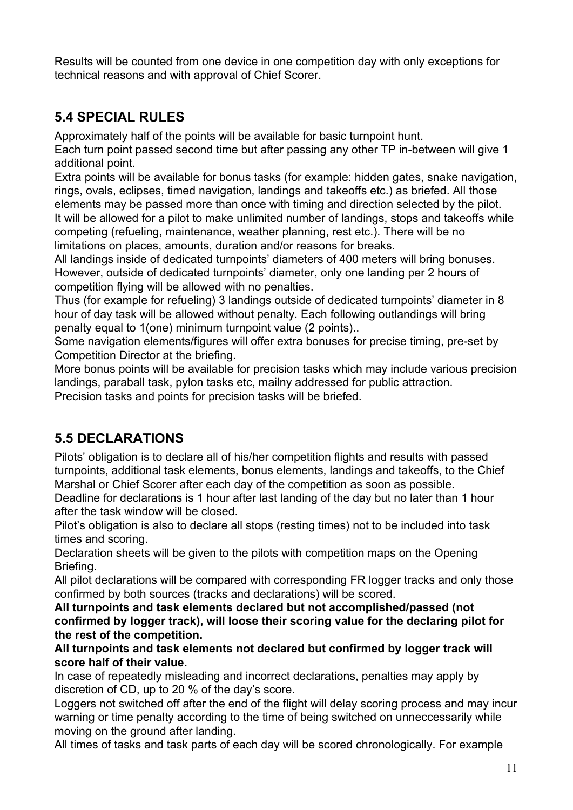Results will be counted from one device in one competition day with only exceptions for technical reasons and with approval of Chief Scorer.

#### <span id="page-10-1"></span>**5.4 SPECIAL RULES**

Approximately half of the points will be available for basic turnpoint hunt.

Each turn point passed second time but after passing any other TP in-between will give 1 additional point.

Extra points will be available for bonus tasks (for example: hidden gates, snake navigation, rings, ovals, eclipses, timed navigation, landings and takeoffs etc.) as briefed. All those elements may be passed more than once with timing and direction selected by the pilot. It will be allowed for a pilot to make unlimited number of landings, stops and takeoffs while competing (refueling, maintenance, weather planning, rest etc.). There will be no limitations on places, amounts, duration and/or reasons for breaks.

All landings inside of dedicated turnpoints' diameters of 400 meters will bring bonuses. However, outside of dedicated turnpoints' diameter, only one landing per 2 hours of competition flying will be allowed with no penalties.

Thus (for example for refueling) 3 landings outside of dedicated turnpoints' diameter in 8 hour of day task will be allowed without penalty. Each following outlandings will bring penalty equal to 1(one) minimum turnpoint value (2 points)..

Some navigation elements/figures will offer extra bonuses for precise timing, pre-set by Competition Director at the briefing.

More bonus points will be available for precision tasks which may include various precision landings, paraball task, pylon tasks etc, mailny addressed for public attraction. Precision tasks and points for precision tasks will be briefed.

## <span id="page-10-0"></span>**5.5 DECLARATIONS**

Pilots' obligation is to declare all of his/her competition flights and results with passed turnpoints, additional task elements, bonus elements, landings and takeoffs, to the Chief Marshal or Chief Scorer after each day of the competition as soon as possible.

Deadline for declarations is 1 hour after last landing of the day but no later than 1 hour after the task window will be closed.

Pilot's obligation is also to declare all stops (resting times) not to be included into task times and scoring.

Declaration sheets will be given to the pilots with competition maps on the Opening Briefing.

All pilot declarations will be compared with corresponding FR logger tracks and only those confirmed by both sources (tracks and declarations) will be scored.

**All turnpoints and task elements declared but not accomplished/passed (not confirmed by logger track), will loose their scoring value for the declaring pilot for the rest of the competition.**

**All turnpoints and task elements not declared but confirmed by logger track will score half of their value.**

In case of repeatedly misleading and incorrect declarations, penalties may apply by discretion of CD, up to 20 % of the day's score.

Loggers not switched off after the end of the flight will delay scoring process and may incur warning or time penalty according to the time of being switched on unneccessarily while moving on the ground after landing.

All times of tasks and task parts of each day will be scored chronologically. For example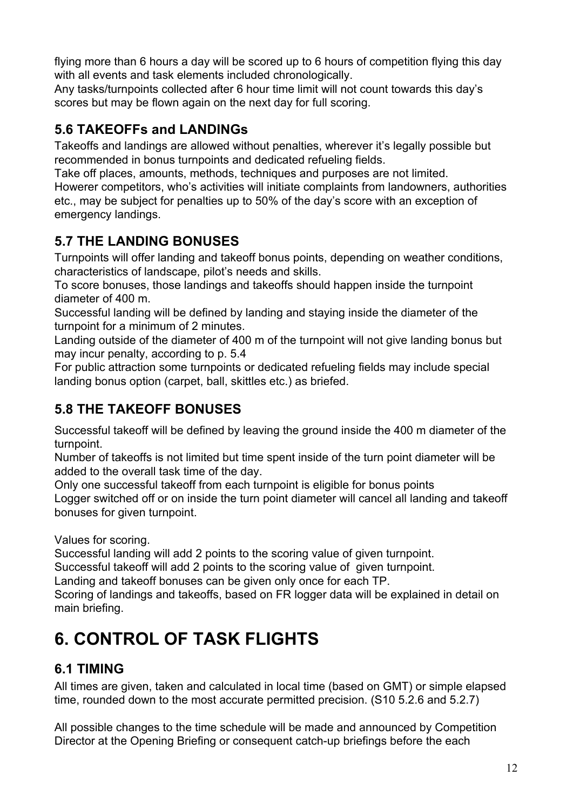flying more than 6 hours a day will be scored up to 6 hours of competition flying this day with all events and task elements included chronologically.

Any tasks/turnpoints collected after 6 hour time limit will not count towards this day's scores but may be flown again on the next day for full scoring.

### <span id="page-11-0"></span>**5.6 TAKEOFFs and LANDINGs**

Takeoffs and landings are allowed without penalties, wherever it's legally possible but recommended in bonus turnpoints and dedicated refueling fields.

Take off places, amounts, methods, techniques and purposes are not limited. Howerer competitors, who's activities will initiate complaints from landowners, authorities etc., may be subject for penalties up to 50% of the day's score with an exception of emergency landings.

#### <span id="page-11-3"></span>**5.7 THE LANDING BONUSES**

Turnpoints will offer landing and takeoff bonus points, depending on weather conditions, characteristics of landscape, pilot's needs and skills.

To score bonuses, those landings and takeoffs should happen inside the turnpoint diameter of 400 m.

Successful landing will be defined by landing and staying inside the diameter of the turnpoint for a minimum of 2 minutes.

Landing outside of the diameter of 400 m of the turnpoint will not give landing bonus but may incur penalty, according to p. 5.4

For public attraction some turnpoints or dedicated refueling fields may include special landing bonus option (carpet, ball, skittles etc.) as briefed.

### <span id="page-11-2"></span>**5.8 THE TAKEOFF BONUSES**

Successful takeoff will be defined by leaving the ground inside the 400 m diameter of the turnpoint.

Number of takeoffs is not limited but time spent inside of the turn point diameter will be added to the overall task time of the day.

Only one successful takeoff from each turnpoint is eligible for bonus points Logger switched off or on inside the turn point diameter will cancel all landing and takeoff bonuses for given turnpoint.

Values for scoring.

Successful landing will add 2 points to the scoring value of given turnpoint.

Successful takeoff will add 2 points to the scoring value of given turnpoint.

Landing and takeoff bonuses can be given only once for each TP.

Scoring of landings and takeoffs, based on FR logger data will be explained in detail on main briefing.

# <span id="page-11-1"></span>**6. CONTROL OF TASK FLIGHTS**

#### <span id="page-11-4"></span>**6.1 TIMING**

All times are given, taken and calculated in local time (based on GMT) or simple elapsed time, rounded down to the most accurate permitted precision. (S10 5.2.6 and 5.2.7)

All possible changes to the time schedule will be made and announced by Competition Director at the Opening Briefing or consequent catch-up briefings before the each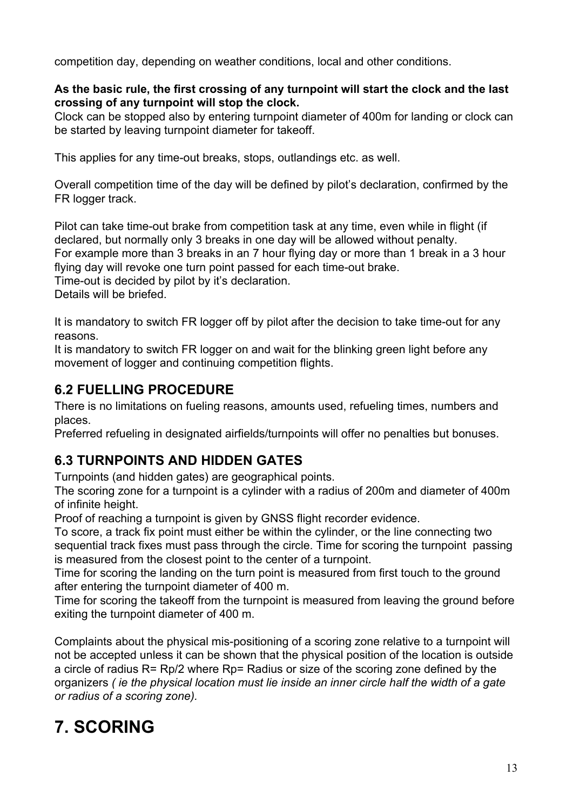competition day, depending on weather conditions, local and other conditions.

#### **As the basic rule, the first crossing of any turnpoint will start the clock and the last crossing of any turnpoint will stop the clock.**

Clock can be stopped also by entering turnpoint diameter of 400m for landing or clock can be started by leaving turnpoint diameter for takeoff.

This applies for any time-out breaks, stops, outlandings etc. as well.

Overall competition time of the day will be defined by pilot's declaration, confirmed by the FR logger track.

Pilot can take time-out brake from competition task at any time, even while in flight (if declared, but normally only 3 breaks in one day will be allowed without penalty. For example more than 3 breaks in an 7 hour flying day or more than 1 break in a 3 hour flying day will revoke one turn point passed for each time-out brake. Time-out is decided by pilot by it's declaration.

Details will be briefed.

It is mandatory to switch FR logger off by pilot after the decision to take time-out for any reasons.

It is mandatory to switch FR logger on and wait for the blinking green light before any movement of logger and continuing competition flights.

#### <span id="page-12-0"></span>**6.2 FUELLING PROCEDURE**

There is no limitations on fueling reasons, amounts used, refueling times, numbers and places.

Preferred refueling in designated airfields/turnpoints will offer no penalties but bonuses.

#### <span id="page-12-2"></span>**6.3 TURNPOINTS AND HIDDEN GATES**

Turnpoints (and hidden gates) are geographical points.

The scoring zone for a turnpoint is a cylinder with a radius of 200m and diameter of 400m of infinite height.

Proof of reaching a turnpoint is given by GNSS flight recorder evidence.

To score, a track fix point must either be within the cylinder, or the line connecting two sequential track fixes must pass through the circle. Time for scoring the turnpoint passing is measured from the closest point to the center of a turnpoint.

Time for scoring the landing on the turn point is measured from first touch to the ground after entering the turnpoint diameter of 400 m.

Time for scoring the takeoff from the turnpoint is measured from leaving the ground before exiting the turnpoint diameter of 400 m.

Complaints about the physical mis-positioning of a scoring zone relative to a turnpoint will not be accepted unless it can be shown that the physical position of the location is outside a circle of radius R= Rp/2 where Rp= Radius or size of the scoring zone defined by the organizers *( ie the physical location must lie inside an inner circle half the width of a gate or radius of a scoring zone).*

# <span id="page-12-1"></span>**7. SCORING**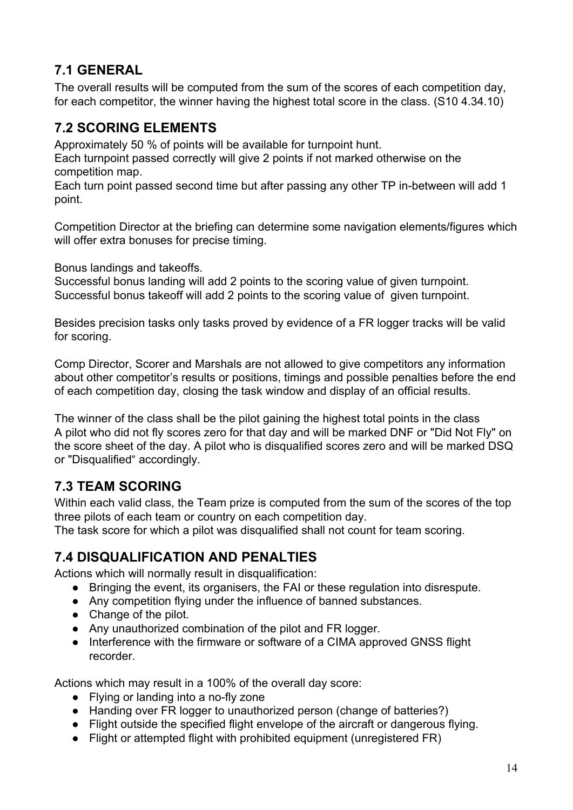#### <span id="page-13-1"></span>**7.1 GENERAL**

The overall results will be computed from the sum of the scores of each competition day, for each competitor, the winner having the highest total score in the class. (S10 4.34.10)

#### <span id="page-13-0"></span>**7.2 SCORING ELEMENTS**

Approximately 50 % of points will be available for turnpoint hunt.

Each turnpoint passed correctly will give 2 points if not marked otherwise on the competition map.

Each turn point passed second time but after passing any other TP in-between will add 1 point.

Competition Director at the briefing can determine some navigation elements/figures which will offer extra bonuses for precise timing.

Bonus landings and takeoffs.

Successful bonus landing will add 2 points to the scoring value of given turnpoint. Successful bonus takeoff will add 2 points to the scoring value of given turnpoint.

Besides precision tasks only tasks proved by evidence of a FR logger tracks will be valid for scoring.

Comp Director, Scorer and Marshals are not allowed to give competitors any information about other competitor's results or positions, timings and possible penalties before the end of each competition day, closing the task window and display of an official results.

The winner of the class shall be the pilot gaining the highest total points in the class A pilot who did not fly scores zero for that day and will be marked DNF or "Did Not Fly" on the score sheet of the day. A pilot who is disqualified scores zero and will be marked DSQ or "Disqualified" accordingly.

#### <span id="page-13-2"></span>**7.3 TEAM SCORING**

Within each valid class, the Team prize is computed from the sum of the scores of the top three pilots of each team or country on each competition day.

<span id="page-13-3"></span>The task score for which a pilot was disqualified shall not count for team scoring.

#### **7.4 DISQUALIFICATION AND PENALTIES**

Actions which will normally result in disqualification:

- Bringing the event, its organisers, the FAI or these regulation into disrespute.
- Any competition flying under the influence of banned substances.
- Change of the pilot.
- Any unauthorized combination of the pilot and FR logger.
- Interference with the firmware or software of a CIMA approved GNSS flight recorder.

Actions which may result in a 100% of the overall day score:

- Flying or landing into a no-fly zone
- Handing over FR logger to unauthorized person (change of batteries?)
- Flight outside the specified flight envelope of the aircraft or dangerous flying.
- Flight or attempted flight with prohibited equipment (unregistered FR)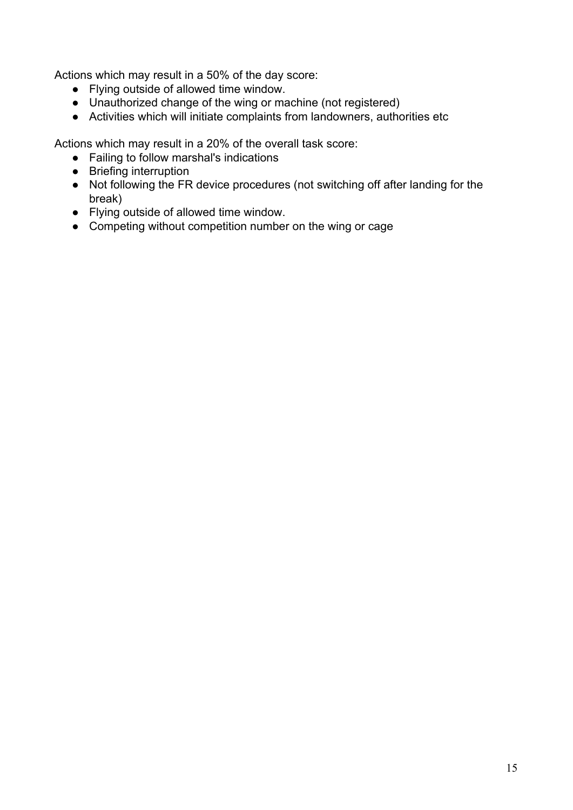Actions which may result in a 50% of the day score:

- Flying outside of allowed time window.
- Unauthorized change of the wing or machine (not registered)
- Activities which will initiate complaints from landowners, authorities etc

Actions which may result in a 20% of the overall task score:

- Failing to follow marshal's indications
- Briefing interruption
- Not following the FR device procedures (not switching off after landing for the break)
- Flying outside of allowed time window.
- Competing without competition number on the wing or cage